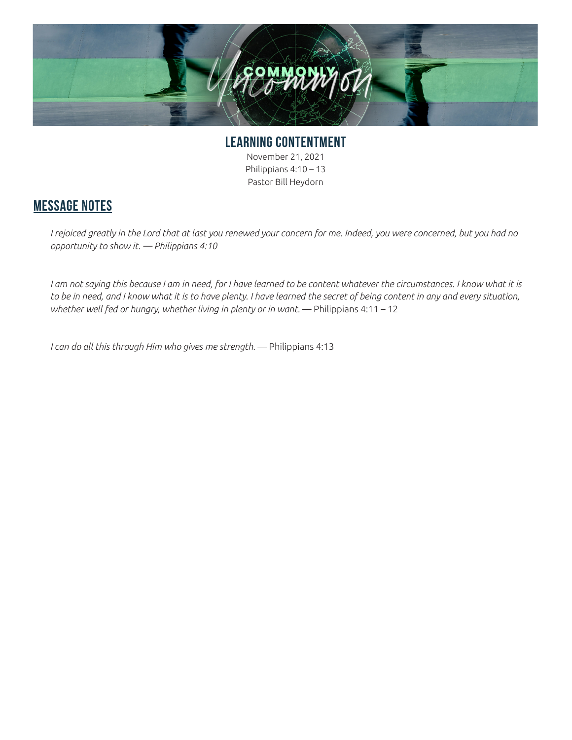

**LEARNING CONTENTMENT** November 21, 2021 Philippians 4:10 – 13 Pastor Bill Heydorn

## **MESSAGE NOTES**

*I rejoiced greatly in the Lord that at last you renewed your concern for me. Indeed, you were concerned, but you had no opportunity to show it. — Philippians 4:10*

I am not saying this because I am in need, for I have learned to be content whatever the circumstances. I know what it is *to be in need, and I know what it is to have plenty. I have learned the secret of being content in any and every situation,*  whether well fed or hungry, whether living in plenty or in want. — Philippians 4:11 - 12

*I can do all this through Him who gives me strength.* — Philippians 4:13